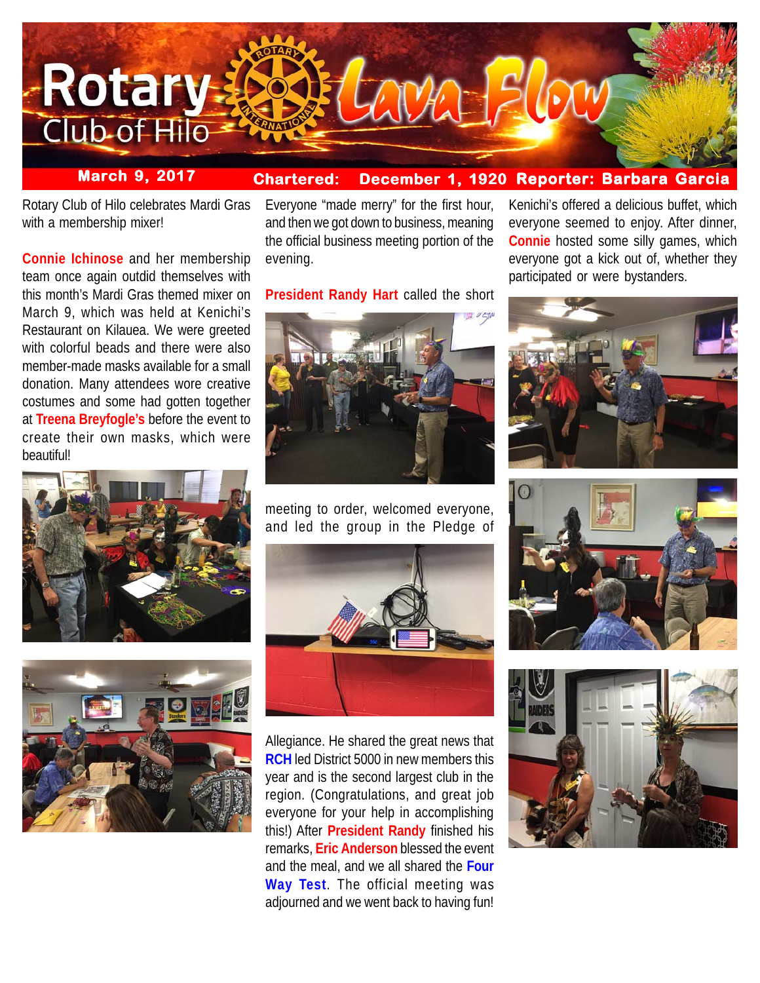

### **Chartered: December 1, 1920 Reporter: Barbara Garcia March 9, 2017**

Rotary Club of Hilo celebrates Mardi Gras with a membership mixer!

**Connie Ichinose** and her membership team once again outdid themselves with this month's Mardi Gras themed mixer on March 9, which was held at Kenichi's Restaurant on Kilauea. We were greeted with colorful beads and there were also member-made masks available for a small donation. Many attendees wore creative costumes and some had gotten together at **Treena Breyfogle's** before the event to create their own masks, which were beautiful!





Everyone "made merry" for the first hour, and then we got down to business, meaning the official business meeting portion of the evening.

**President Randy Hart** called the short



meeting to order, welcomed everyone, and led the group in the Pledge of



Allegiance. He shared the great news that **RCH** led District 5000 in new members this year and is the second largest club in the region. (Congratulations, and great job everyone for your help in accomplishing this!) After **President Randy** finished his remarks, **Eric Anderson** blessed the event and the meal, and we all shared the **Four Way Test**. The official meeting was adjourned and we went back to having fun!

Kenichi's offered a delicious buffet, which everyone seemed to enjoy. After dinner, **Connie** hosted some silly games, which everyone got a kick out of, whether they participated or were bystanders.





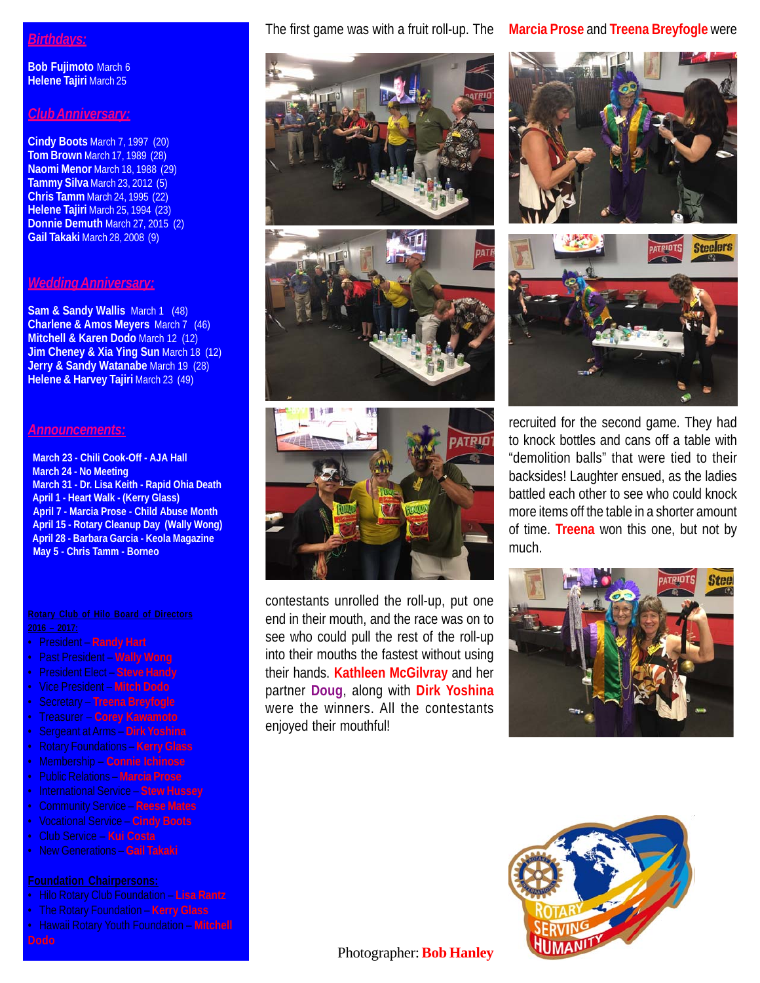## *Birthdays:*

**Bob Fujimoto** March 6 **Helene Tajiri** March 25

## *Club Anniversary:*

**Cindy Boots** March 7, 1997 (20) **Tom Brown** March 17, 1989 (28) **Naomi Menor** March 18, 1988 (29) **Tammy Silva** March 23, 2012 (5) **Chris Tamm** March 24, 1995 (22) **Helene Tajiri** March 25, 1994 (23) **Donnie Demuth** March 27, 2015 (2) **Gail Takaki** March 28, 2008 (9)

## *Wedding Anniversary:*

**Sam & Sandy Wallis** March 1 (48) **Charlene & Amos Meyers** March 7 (46) **Mitchell & Karen Dodo** March 12 (12) **Jim Cheney & Xia Ying Sun** March 18 (12) **Jerry & Sandy Watanabe** March 19 (28) **Helene & Harvey Tajiri** March 23 (49)

## *Announcements:*

 **March 23 - Chili Cook-Off - AJA Hall March 24 - No Meeting March 31 - Dr. Lisa Keith - Rapid Ohia Death April 1 - Heart Walk - (Kerry Glass) April 7 - Marcia Prose - Child Abuse Month April 15 - Rotary Cleanup Day (Wally Wong) April 28 - Barbara Garcia - Keola Magazine May 5 - Chris Tamm - Borneo**

- President **Randy Hart**
- Past President **Wally Wong**
- President Elect **Steve Handy**
- Vice President **Mitch Dodo**
- Secretary **Treena Breyfogle**
- Treasurer **Corey Kawamoto**
- Sergeant at Arms **Dirk Yoshina**
- 
- Membership **Connie Ichinose**
- Public Relations **Marcia Prose**
- International Service **Stew Hussey**
- Community Service **Reese Mates**
- Vocational Service **Cindy Boots**
- Club Service **Kui Costa**
- New Generations **Gail Takaki**

- Hilo Rotary Club Foundation **Lisa Rantz**
- The Rotary Foundation **Kerry Glass**
- Hawaii Rotary Youth Foundation **Mitchell**

# The first game was with a fruit roll-up. The **Marcia Prose** and **Treena Breyfogle** were







contestants unrolled the roll-up, put one end in their mouth, and the race was on to see who could pull the rest of the roll-up into their mouths the fastest without using their hands. **Kathleen McGilvray** and her partner **Doug**, along with **Dirk Yoshina** were the winners. All the contestants enjoyed their mouthful!





recruited for the second game. They had to knock bottles and cans off a table with "demolition balls" that were tied to their backsides! Laughter ensued, as the ladies battled each other to see who could knock more items off the table in a shorter amount of time. **Treena** won this one, but not by much.





## Photographer: **Bob Hanley**